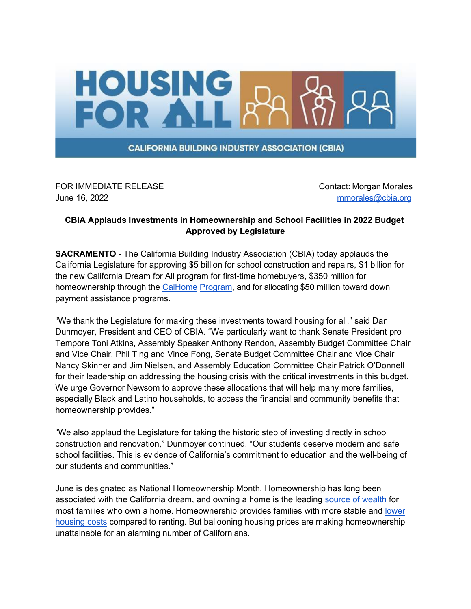

FOR IMMEDIATE RELEASE CONTACT CONTACT: Morgan Morales June 16, 2022 [mmorales@cbia.org](mailto:mmorales@cbia.org)

## **CBIA Applauds Investments in Homeownership and School Facilities in 2022 Budget Approved by Legislature**

**SACRAMENTO** - The California Building Industry Association (CBIA) today applauds the California Legislature for approving \$5 billion for school construction and repairs, \$1 billion for the new California Dream for All program for first-time homebuyers, \$350 million for homeownership through th[e CalHome](https://hcd.ca.gov/calhome) [Program,](https://hcd.ca.gov/calhome) and for allocating \$50 million toward down payment assistance programs.

"We thank the Legislature for making these investments toward housing for all," said Dan Dunmoyer, President and CEO of CBIA. "We particularly want to thank Senate President pro Tempore Toni Atkins, Assembly Speaker Anthony Rendon, Assembly Budget Committee Chair and Vice Chair, Phil Ting and Vince Fong, Senate Budget Committee Chair and Vice Chair Nancy Skinner and Jim Nielsen, and Assembly Education Committee Chair Patrick O'Donnell for their leadership on addressing the housing crisis with the critical investments in this budget. We urge Governor Newsom to approve these allocations that will help many more families, especially Black and Latino households, to access the financial and community benefits that homeownership provides."

"We also applaud the Legislature for taking the historic step of investing directly in school construction and renovation," Dunmoyer continued. "Our students deserve modern and safe school facilities. This is evidence of California's commitment to education and the well-being of our students and communities."

June is designated as National Homeownership Month. Homeownership has long been associated with the California dream, and owning a home is the leading [source of wealth](https://www.federalreserve.gov/publications/files/scf20.pdf) for most families who own a home. Homeownership provides families with more stable and [lower](https://www.urban.org/urban-wire/homeownership-still-financially-better-renting) [housing](https://www.urban.org/urban-wire/homeownership-still-financially-better-renting) costs compared to renting. But ballooning housing prices are making homeownership unattainable for an alarming number of Californians.